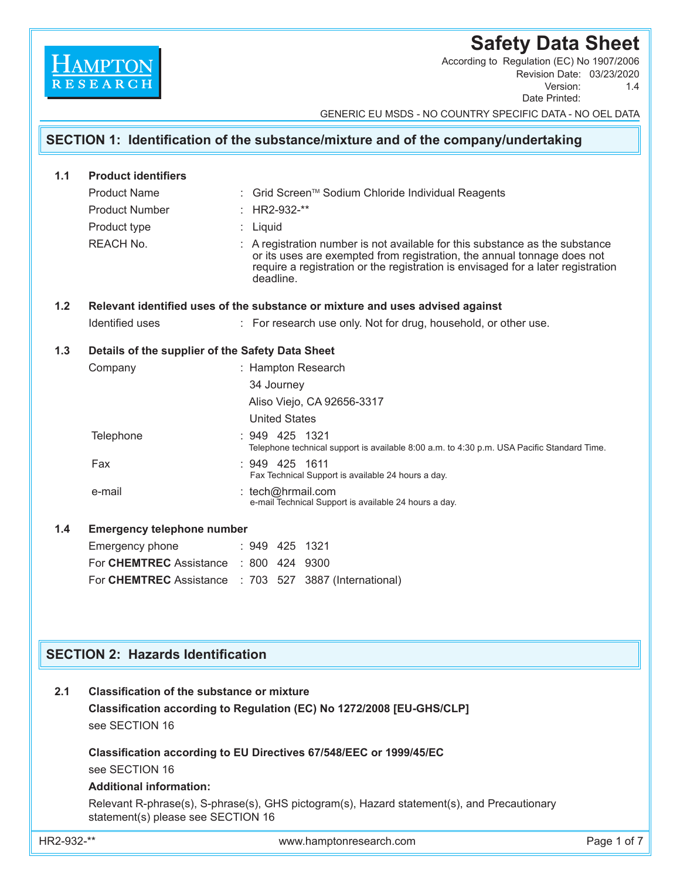# **Safety Data Sheet**

Revision Date: 03/23/2020<br>Version: 1.4 Version: Date Printed: According to Regulation (EC) No 1907/2006

GENERIC EU MSDS - NO COUNTRY SPECIFIC DATA - NO OEL DATA

|       |                                                                     | SECTION 1: Identification of the substance/mixture and of the company/undertaking                                                                                                                                                                        |  |  |  |  |  |  |
|-------|---------------------------------------------------------------------|----------------------------------------------------------------------------------------------------------------------------------------------------------------------------------------------------------------------------------------------------------|--|--|--|--|--|--|
|       |                                                                     |                                                                                                                                                                                                                                                          |  |  |  |  |  |  |
| 1.1   | <b>Product identifiers</b>                                          |                                                                                                                                                                                                                                                          |  |  |  |  |  |  |
|       | <b>Product Name</b>                                                 | : Grid Screen™ Sodium Chloride Individual Reagents                                                                                                                                                                                                       |  |  |  |  |  |  |
|       | <b>Product Number</b>                                               | : HR2-932-**                                                                                                                                                                                                                                             |  |  |  |  |  |  |
|       | Product type                                                        | : Liquid                                                                                                                                                                                                                                                 |  |  |  |  |  |  |
|       | <b>REACH No.</b>                                                    | : A registration number is not available for this substance as the substance<br>or its uses are exempted from registration, the annual tonnage does not<br>require a registration or the registration is envisaged for a later registration<br>deadline. |  |  |  |  |  |  |
| $1.2$ |                                                                     | Relevant identified uses of the substance or mixture and uses advised against                                                                                                                                                                            |  |  |  |  |  |  |
|       | Identified uses                                                     | : For research use only. Not for drug, household, or other use.                                                                                                                                                                                          |  |  |  |  |  |  |
| 1.3   | Details of the supplier of the Safety Data Sheet                    |                                                                                                                                                                                                                                                          |  |  |  |  |  |  |
|       | Company                                                             | : Hampton Research                                                                                                                                                                                                                                       |  |  |  |  |  |  |
|       |                                                                     | 34 Journey                                                                                                                                                                                                                                               |  |  |  |  |  |  |
|       |                                                                     | Aliso Viejo, CA 92656-3317                                                                                                                                                                                                                               |  |  |  |  |  |  |
|       |                                                                     | <b>United States</b>                                                                                                                                                                                                                                     |  |  |  |  |  |  |
|       | Telephone                                                           | : 949 425 1321<br>Telephone technical support is available 8:00 a.m. to 4:30 p.m. USA Pacific Standard Time.                                                                                                                                             |  |  |  |  |  |  |
|       | Fax                                                                 | : 949 425 1611<br>Fax Technical Support is available 24 hours a day.                                                                                                                                                                                     |  |  |  |  |  |  |
|       | e-mail                                                              | : tech@hrmail.com<br>e-mail Technical Support is available 24 hours a day.                                                                                                                                                                               |  |  |  |  |  |  |
| 1.4   | <b>Emergency telephone number</b>                                   |                                                                                                                                                                                                                                                          |  |  |  |  |  |  |
|       | Emergency phone                                                     | : 949 425 1321                                                                                                                                                                                                                                           |  |  |  |  |  |  |
|       | For CHEMTREC Assistance                                             | : 800 424 9300                                                                                                                                                                                                                                           |  |  |  |  |  |  |
|       |                                                                     | For CHEMTREC Assistance : 703 527 3887 (International)                                                                                                                                                                                                   |  |  |  |  |  |  |
|       |                                                                     |                                                                                                                                                                                                                                                          |  |  |  |  |  |  |
|       |                                                                     |                                                                                                                                                                                                                                                          |  |  |  |  |  |  |
|       | <b>SECTION 2: Hazards Identification</b>                            |                                                                                                                                                                                                                                                          |  |  |  |  |  |  |
| 2.1   | <b>Classification of the substance or mixture</b><br>see SECTION 16 | Classification according to Regulation (EC) No 1272/2008 [EU-GHS/CLP]                                                                                                                                                                                    |  |  |  |  |  |  |

 **Classification according to EU Directives 67/548/EEC or 1999/45/EC** see SECTION 16

### **Additional information:**

 Relevant R-phrase(s), S-phrase(s), GHS pictogram(s), Hazard statement(s), and Precautionary statement(s) please see SECTION 16

HAMPTON

HR2-932-\*\* www.hamptonresearch.com Page 1 of 7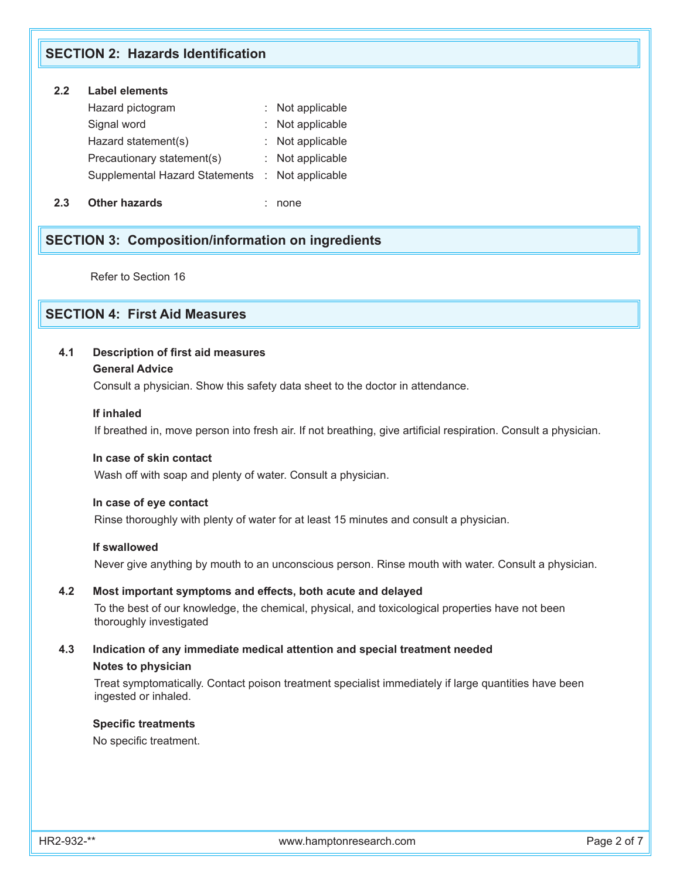## **SECTION 2: Hazards Identification**

## **2.2 Label elements**

| Hazard pictogram           |                                                 | : Not applicable |
|----------------------------|-------------------------------------------------|------------------|
| Signal word                |                                                 | : Not applicable |
| Hazard statement(s)        |                                                 | : Not applicable |
| Precautionary statement(s) |                                                 | : Not applicable |
|                            | Supplemental Hazard Statements : Not applicable |                  |
|                            |                                                 |                  |

**2.3 Other hazards** : none

## **SECTION 3: Composition/information on ingredients**

Refer to Section 16

## **SECTION 4: First Aid Measures**

## **4.1 Description of first aid measures**

### **General Advice**

Consult a physician. Show this safety data sheet to the doctor in attendance.

#### **If inhaled**

If breathed in, move person into fresh air. If not breathing, give artificial respiration. Consult a physician.

## **In case of skin contact**

Wash off with soap and plenty of water. Consult a physician.

### **In case of eye contact**

Rinse thoroughly with plenty of water for at least 15 minutes and consult a physician.

## **If swallowed**

Never give anything by mouth to an unconscious person. Rinse mouth with water. Consult a physician.

### **4.2 Most important symptoms and effects, both acute and delayed**

To the best of our knowledge, the chemical, physical, and toxicological properties have not been thoroughly investigated

## **4.3 Indication of any immediate medical attention and special treatment needed Notes to physician**

 Treat symptomatically. Contact poison treatment specialist immediately if large quantities have been ingested or inhaled.

#### **Specific treatments**

No specific treatment.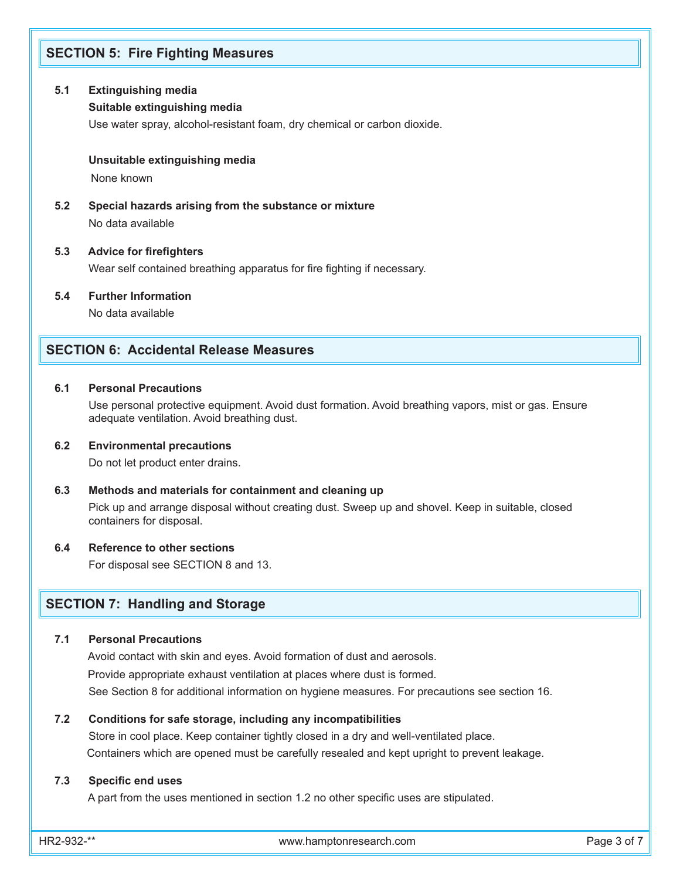## **SECTION 5: Fire Fighting Measures**

### **5.1 Extinguishing media**

### **Suitable extinguishing media**

Use water spray, alcohol-resistant foam, dry chemical or carbon dioxide.

#### **Unsuitable extinguishing media**

None known

**5.2 Special hazards arising from the substance or mixture** No data available

## **5.3 Advice for firefighters**

Wear self contained breathing apparatus for fire fighting if necessary.

**5.4 Further Information**

No data available

## **SECTION 6: Accidental Release Measures**

### **6.1 Personal Precautions**

Use personal protective equipment. Avoid dust formation. Avoid breathing vapors, mist or gas. Ensure adequate ventilation. Avoid breathing dust.

#### **6.2 Environmental precautions**

Do not let product enter drains.

#### **6.3 Methods and materials for containment and cleaning up**

 Pick up and arrange disposal without creating dust. Sweep up and shovel. Keep in suitable, closed containers for disposal.

#### **6.4 Reference to other sections**

For disposal see SECTION 8 and 13.

## **SECTION 7: Handling and Storage**

### **7.1 Personal Precautions**

 Avoid contact with skin and eyes. Avoid formation of dust and aerosols. Provide appropriate exhaust ventilation at places where dust is formed. See Section 8 for additional information on hygiene measures. For precautions see section 16.

#### **7.2 Conditions for safe storage, including any incompatibilities**

 Store in cool place. Keep container tightly closed in a dry and well-ventilated place. Containers which are opened must be carefully resealed and kept upright to prevent leakage.

### **7.3 Specific end uses**

A part from the uses mentioned in section 1.2 no other specific uses are stipulated.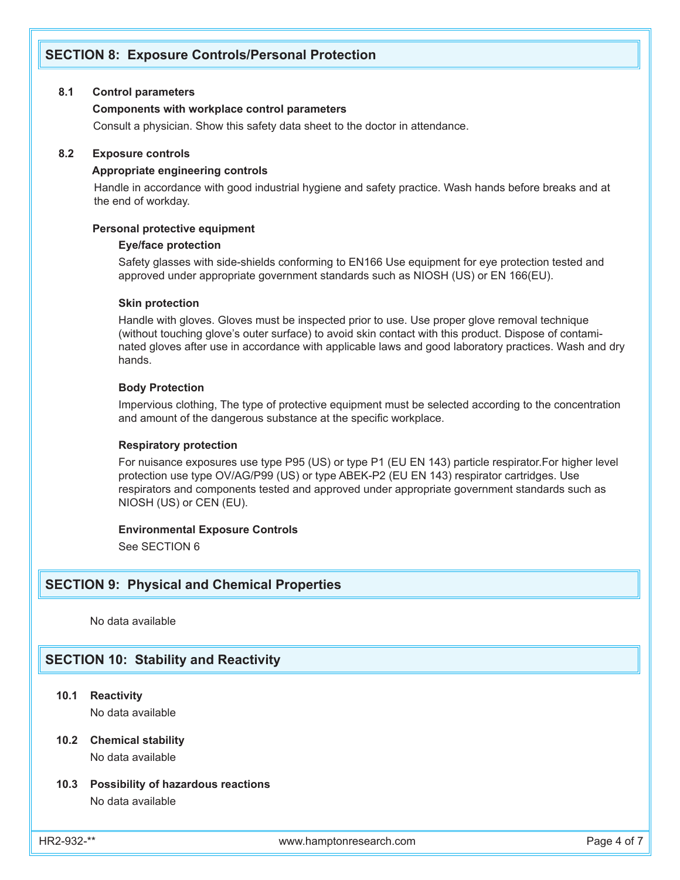## **SECTION 8: Exposure Controls/Personal Protection**

### **8.1 Control parameters**

#### **Components with workplace control parameters**

Consult a physician. Show this safety data sheet to the doctor in attendance.

#### **8.2 Exposure controls**

#### **Appropriate engineering controls**

 Handle in accordance with good industrial hygiene and safety practice. Wash hands before breaks and at the end of workday.

#### **Personal protective equipment**

#### **Eye/face protection**

Safety glasses with side-shields conforming to EN166 Use equipment for eye protection tested and approved under appropriate government standards such as NIOSH (US) or EN 166(EU).

#### **Skin protection**

Handle with gloves. Gloves must be inspected prior to use. Use proper glove removal technique (without touching glove's outer surface) to avoid skin contact with this product. Dispose of contaminated gloves after use in accordance with applicable laws and good laboratory practices. Wash and dry hands.

## **Body Protection**

Impervious clothing, The type of protective equipment must be selected according to the concentration and amount of the dangerous substance at the specific workplace.

#### **Respiratory protection**

For nuisance exposures use type P95 (US) or type P1 (EU EN 143) particle respirator.For higher level protection use type OV/AG/P99 (US) or type ABEK-P2 (EU EN 143) respirator cartridges. Use respirators and components tested and approved under appropriate government standards such as NIOSH (US) or CEN (EU).

#### **Environmental Exposure Controls**

See SECTION 6

## **SECTION 9: Physical and Chemical Properties**

No data available

## **SECTION 10: Stability and Reactivity**

**10.1 Reactivity**

No data available

# **10.2 Chemical stability**

No data available

## **10.3 Possibility of hazardous reactions** No data available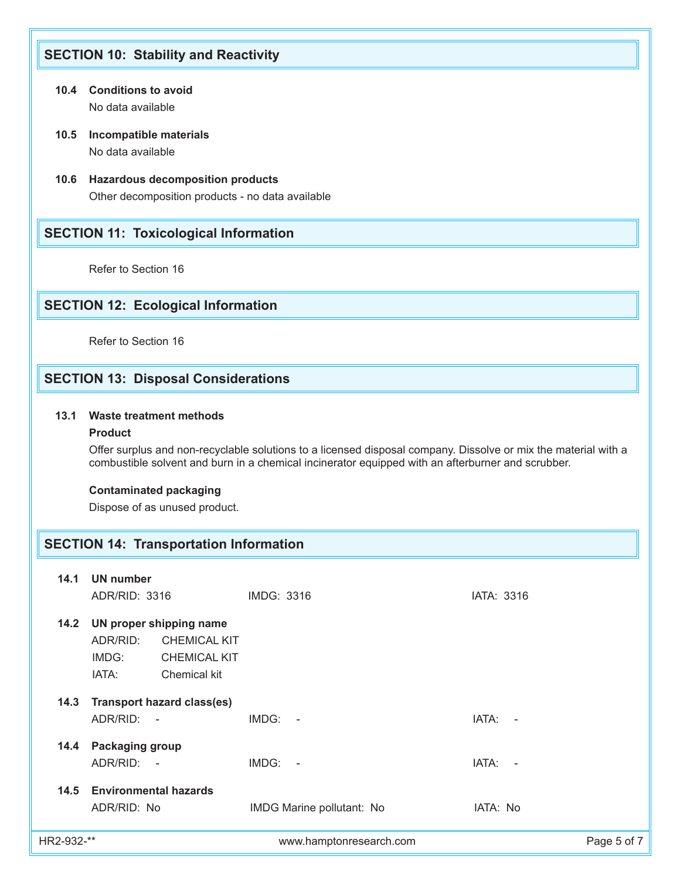## **SECTION 10: Stability and Reactivity**

- **10.4 Conditions to avoid** No data available
- **10.5 Incompatible materials** No data available
- **10.6 Hazardous decomposition products** Other decomposition products - no data available

## **SECTION 11: Toxicological Information**

Refer to Section 16

## **SECTION 12: Ecological Information**

Refer to Section 16

## **SECTION 13: Disposal Considerations**

## **13.1 Waste treatment methods**

## **Product**

 Offer surplus and non-recyclable solutions to a licensed disposal company. Dissolve or mix the material with a combustible solvent and burn in a chemical incinerator equipped with an afterburner and scrubber.

## **Contaminated packaging**

Dispose of as unused product.

## **SECTION 14: Transportation Information**

| 14.1       | <b>UN number</b>                                                                                                    |                           |                 |  |
|------------|---------------------------------------------------------------------------------------------------------------------|---------------------------|-----------------|--|
|            | ADR/RID: 3316                                                                                                       | IMDG: 3316                | IATA: 3316      |  |
| 14.2       | UN proper shipping name<br>ADR/RID:<br><b>CHEMICAL KIT</b><br>IMDG:<br><b>CHEMICAL KIT</b><br>IATA:<br>Chemical kit |                           |                 |  |
| 14.3       | <b>Transport hazard class(es)</b><br>ADR/RID: -                                                                     | $IMDG: -$                 | IATA:<br>$\sim$ |  |
| 14.4       | Packaging group<br>ADR/RID: -                                                                                       | $IMDG: -$                 | IATA: -         |  |
| 14.5       | <b>Environmental hazards</b><br>ADR/RID: No                                                                         | IMDG Marine pollutant: No | IATA: No        |  |
| HR2-932-** |                                                                                                                     | www.hamptonresearch.com   | Page 5 of 7     |  |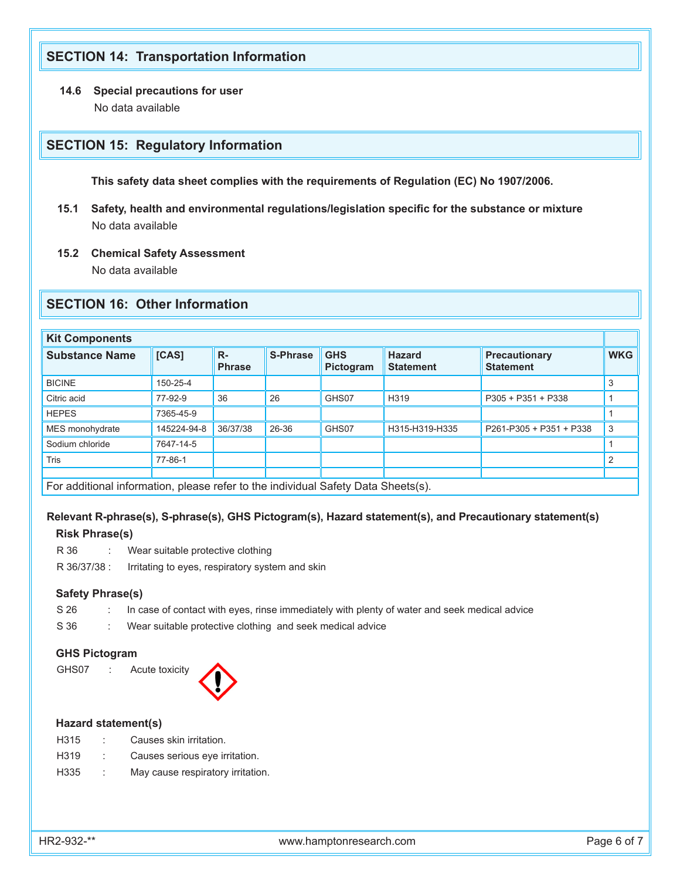## **SECTION 14: Transportation Information**

## **14.6 Special precautions for user** No data available

## **SECTION 15: Regulatory Information**

 **This safety data sheet complies with the requirements of Regulation (EC) No 1907/2006.**

- **15.1 Safety, health and environmental regulations/legislation specific for the substance or mixture** No data available
- **15.2 Chemical Safety Assessment** No data available

## **SECTION 16: Other Information**

| <b>Kit Components</b>                                                             |             |                        |                 |                         |                                   |                                          |            |  |  |
|-----------------------------------------------------------------------------------|-------------|------------------------|-----------------|-------------------------|-----------------------------------|------------------------------------------|------------|--|--|
| <b>Substance Name</b>                                                             | [CAS]       | $R -$<br><b>Phrase</b> | <b>S-Phrase</b> | <b>GHS</b><br>Pictogram | <b>Hazard</b><br><b>Statement</b> | <b>Precautionary</b><br><b>Statement</b> | <b>WKG</b> |  |  |
| <b>BICINE</b>                                                                     | 150-25-4    |                        |                 |                         |                                   |                                          | 3          |  |  |
| Citric acid                                                                       | 77-92-9     | 36                     | 26              | GHS07                   | H319                              | P305 + P351 + P338                       |            |  |  |
| <b>HEPES</b>                                                                      | 7365-45-9   |                        |                 |                         |                                   |                                          |            |  |  |
| MES monohydrate                                                                   | 145224-94-8 | 36/37/38               | 26-36           | GHS07                   | H315-H319-H335                    | P261-P305 + P351 + P338                  | 3          |  |  |
| Sodium chloride                                                                   | 7647-14-5   |                        |                 |                         |                                   |                                          |            |  |  |
| <b>Tris</b>                                                                       | 77-86-1     |                        |                 |                         |                                   |                                          | 2          |  |  |
|                                                                                   |             |                        |                 |                         |                                   |                                          |            |  |  |
| For additional information, please refer to the individual Safety Data Sheets(s). |             |                        |                 |                         |                                   |                                          |            |  |  |

## **Relevant R-phrase(s), S-phrase(s), GHS Pictogram(s), Hazard statement(s), and Precautionary statement(s) Risk Phrase(s)**

R 36 : Wear suitable protective clothing R 36/37/38 : Irritating to eyes, respiratory system and skin

### **Safety Phrase(s)**

- S 26 : In case of contact with eyes, rinse immediately with plenty of water and seek medical advice
- S 36 : Wear suitable protective clothing and seek medical advice

## **GHS Pictogram**

GHS07 : Acute toxicity



#### **Hazard statement(s)**

- H315 : Causes skin irritation.
- H319 : Causes serious eye irritation.
- H335 : May cause respiratory irritation.